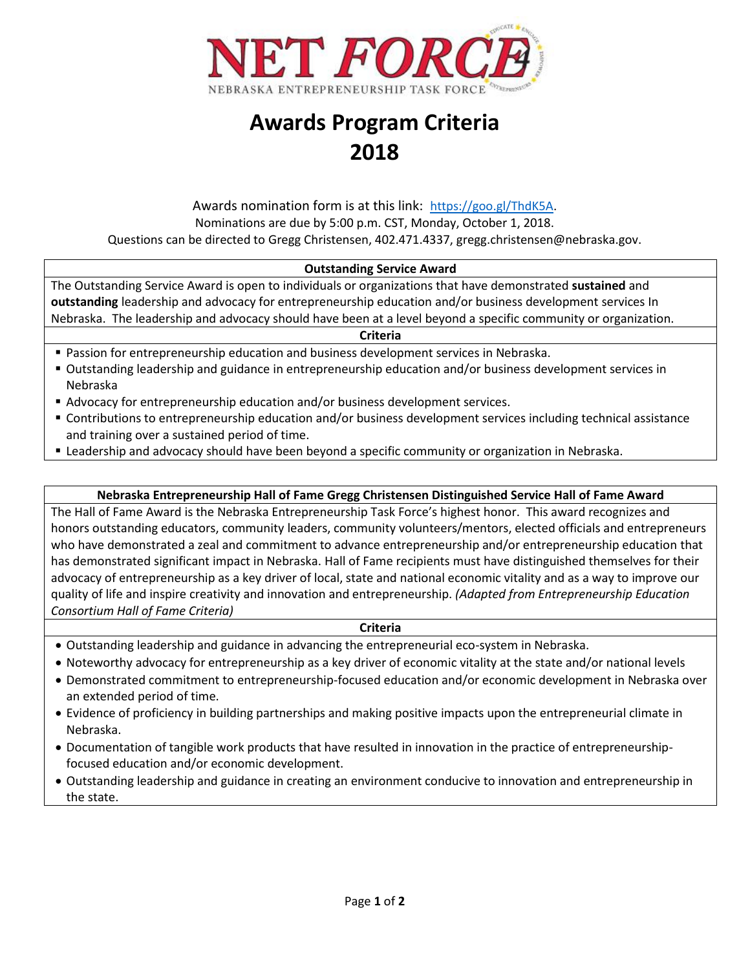

# **Awards Program Criteria 2018**

# Awards nomination form is at this link: [https://goo.gl/ThdK5A.](https://goo.gl/ThdK5A) Nominations are due by 5:00 p.m. CST, Monday, October 1, 2018. Questions can be directed to Gregg Christensen, 402.471.4337, gregg.christensen@nebraska.gov.

### **Outstanding Service Award**

The Outstanding Service Award is open to individuals or organizations that have demonstrated **sustained** and **outstanding** leadership and advocacy for entrepreneurship education and/or business development services In Nebraska. The leadership and advocacy should have been at a level beyond a specific community or organization.

#### **Criteria**

**Passion for entrepreneurship education and business development services in Nebraska.** 

- Outstanding leadership and guidance in entrepreneurship education and/or business development services in Nebraska
- Advocacy for entrepreneurship education and/or business development services.
- Contributions to entrepreneurship education and/or business development services including technical assistance and training over a sustained period of time.
- Leadership and advocacy should have been beyond a specific community or organization in Nebraska.

### **Nebraska Entrepreneurship Hall of Fame Gregg Christensen Distinguished Service Hall of Fame Award**

The Hall of Fame Award is the Nebraska Entrepreneurship Task Force's highest honor. This award recognizes and honors outstanding educators, community leaders, community volunteers/mentors, elected officials and entrepreneurs who have demonstrated a zeal and commitment to advance entrepreneurship and/or entrepreneurship education that has demonstrated significant impact in Nebraska. Hall of Fame recipients must have distinguished themselves for their advocacy of entrepreneurship as a key driver of local, state and national economic vitality and as a way to improve our quality of life and inspire creativity and innovation and entrepreneurship. *(Adapted from Entrepreneurship Education Consortium Hall of Fame Criteria)*

#### **Criteria**

- Outstanding leadership and guidance in advancing the entrepreneurial eco-system in Nebraska.
- Noteworthy advocacy for entrepreneurship as a key driver of economic vitality at the state and/or national levels
- Demonstrated commitment to entrepreneurship-focused education and/or economic development in Nebraska over an extended period of time.
- Evidence of proficiency in building partnerships and making positive impacts upon the entrepreneurial climate in Nebraska.
- Documentation of tangible work products that have resulted in innovation in the practice of entrepreneurshipfocused education and/or economic development.
- Outstanding leadership and guidance in creating an environment conducive to innovation and entrepreneurship in the state.